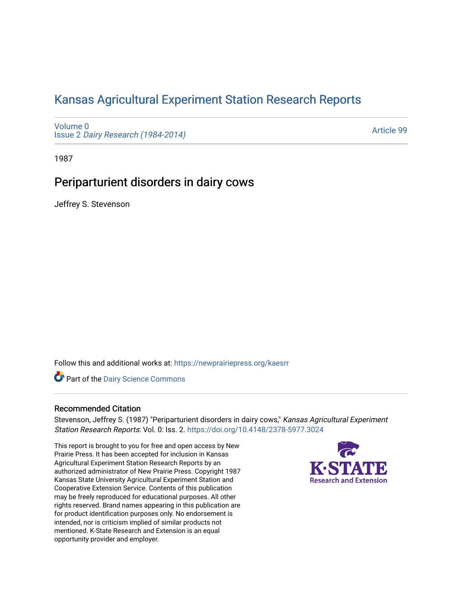# [Kansas Agricultural Experiment Station Research Reports](https://newprairiepress.org/kaesrr)

[Volume 0](https://newprairiepress.org/kaesrr/vol0) Issue 2 [Dairy Research \(1984-2014\)](https://newprairiepress.org/kaesrr/vol0/iss2) 

[Article 99](https://newprairiepress.org/kaesrr/vol0/iss2/99) 

1987

# Periparturient disorders in dairy cows

Jeffrey S. Stevenson

Follow this and additional works at: [https://newprairiepress.org/kaesrr](https://newprairiepress.org/kaesrr?utm_source=newprairiepress.org%2Fkaesrr%2Fvol0%2Fiss2%2F99&utm_medium=PDF&utm_campaign=PDFCoverPages) 

Part of the [Dairy Science Commons](http://network.bepress.com/hgg/discipline/79?utm_source=newprairiepress.org%2Fkaesrr%2Fvol0%2Fiss2%2F99&utm_medium=PDF&utm_campaign=PDFCoverPages) 

# Recommended Citation

Stevenson, Jeffrey S. (1987) "Periparturient disorders in dairy cows," Kansas Agricultural Experiment Station Research Reports: Vol. 0: Iss. 2.<https://doi.org/10.4148/2378-5977.3024>

This report is brought to you for free and open access by New Prairie Press. It has been accepted for inclusion in Kansas Agricultural Experiment Station Research Reports by an authorized administrator of New Prairie Press. Copyright 1987 Kansas State University Agricultural Experiment Station and Cooperative Extension Service. Contents of this publication may be freely reproduced for educational purposes. All other rights reserved. Brand names appearing in this publication are for product identification purposes only. No endorsement is intended, nor is criticism implied of similar products not mentioned. K-State Research and Extension is an equal opportunity provider and employer.

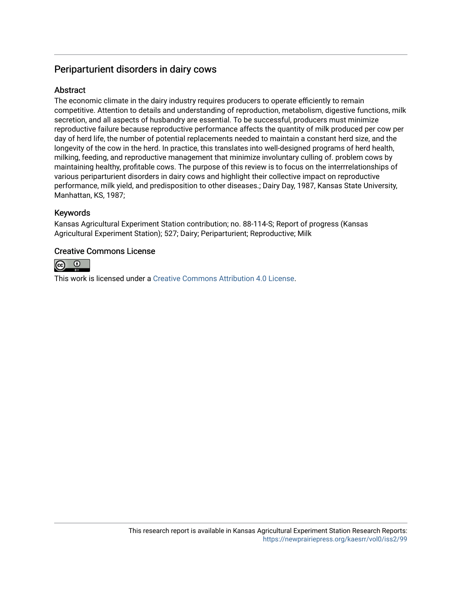# Periparturient disorders in dairy cows

# **Abstract**

The economic climate in the dairy industry requires producers to operate efficiently to remain competitive. Attention to details and understanding of reproduction, metabolism, digestive functions, milk secretion, and all aspects of husbandry are essential. To be successful, producers must minimize reproductive failure because reproductive performance affects the quantity of milk produced per cow per day of herd life, the number of potential replacements needed to maintain a constant herd size, and the longevity of the cow in the herd. In practice, this translates into well-designed programs of herd health, milking, feeding, and reproductive management that minimize involuntary culling of. problem cows by maintaining healthy, profitable cows. The purpose of this review is to focus on the interrrelationships of various periparturient disorders in dairy cows and highlight their collective impact on reproductive performance, milk yield, and predisposition to other diseases.; Dairy Day, 1987, Kansas State University, Manhattan, KS, 1987;

# Keywords

Kansas Agricultural Experiment Station contribution; no. 88-114-S; Report of progress (Kansas Agricultural Experiment Station); 527; Dairy; Periparturient; Reproductive; Milk

# Creative Commons License



This work is licensed under a [Creative Commons Attribution 4.0 License](https://creativecommons.org/licenses/by/4.0/).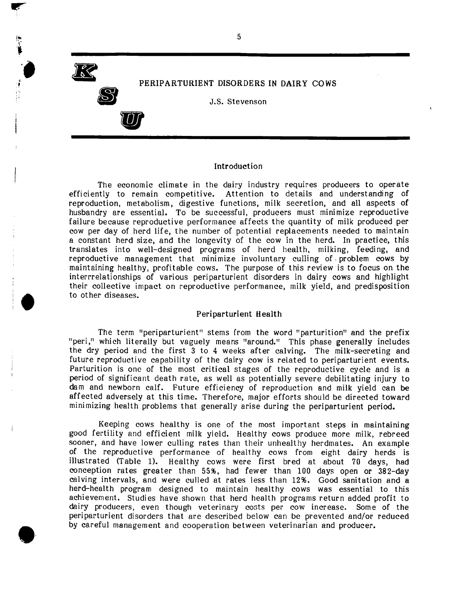**FR** 

|<br>|-!

**•** 

e·

**S** 

**U** 

PERIPARTURIENT DISORDERS IN DAIRY COWS

J.S. Stevenson

#### Introduction

The economic climate in the dairy industry requires producers to operate efficiently to remain competitive. Attention to details and understanding of reproduction, metabolism, digestive functions, milk secretion, and all aspects of husbandry are essential. To be successful, producers must minimize reproductive failure because reproductive performance affects the quantity of milk produced per cow per day of herd life, the number of potential replacements needed to maintain a constant herd size, and the longevity of the cow in the herd. In practice, this translates into well-designed programs of herd health, milking, feeding, and reproductive management that minimize involuntary culling of. problem cows by maintaining healthy, profitable cows. The purpose of this review is to focus on the interrrelationships of various periparturient disorders in dairy cows and highlight their collective impact on reproductive performance, milk yield, and predisposition to other diseases.

#### Periparturient Health

The term "periparturient" stems from the word "parturition" and the prefix "peri," which literally but vaguely means "around." This phase generally includes the dry period and the first 3 to 4 weeks after calving. The milk-secreting and future reproductive capability of the dairy cow is related to periparturient events. Parturition is one of the most critical stages of the reproductive cycle and is a period of significant death rate, as well as potentially severe debilitating injury to dam and newborn calf. Future efficiency of reproduction and milk yield can be affected adversely at this time. Therefore, major efforts should be directed toward minimizing health problems that generally arise during the periparturient period.

Keeping cows healthy is one of the most important steps in maintaining good fertility and efficient mill< yield. Healthy cows produce more milk, rebreed sooner, and have lower culling rates than their unhealthy herdmates. An example of the reproductive performance of healthy cows from eight dairy herds is illustrated (Table 1). Healthy cows were first bred at about 70 days, had conception rates greater than 55%, had fewer than 100 days open or 382-day calving intervals, and were culled at rates less than 1296. Good sanitation and a herd-health program designed to maintain healthy cows was essential to this achievement. Studies have shown that herd health programs return added profit to dairy producers, even though veterinary costs per cow increase. Some of the periparturient disorders that are described below can be prevented and/or reduced by careful management and cooperation between veterinarian and producer.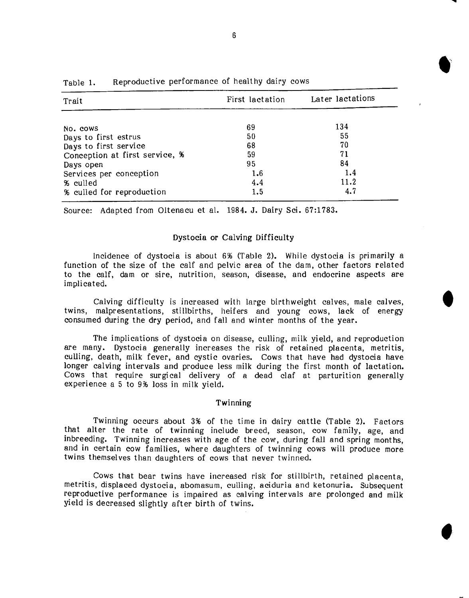| Trait                          | First lactation | Later lactations |  |
|--------------------------------|-----------------|------------------|--|
|                                |                 |                  |  |
| No. cows                       | 69              | 134              |  |
| Days to first estrus           | 50              | 55               |  |
| Days to first service          | 68              | 70               |  |
| Conception at first service, % | 59              | 71               |  |
| Days open                      | 95              | 84               |  |
| Services per conception        | 1.6             | 1.4              |  |
| % culled                       | 4.4             | 11.2             |  |
| % culled for reproduction      | 1.5             | 4.7              |  |

| Table 1. | Reproductive performance of healthy dairy cows |  |  |  |  |
|----------|------------------------------------------------|--|--|--|--|
|----------|------------------------------------------------|--|--|--|--|

Source: Adapted from Oltenacu et al. 1984. J. Dairy Sci. 67:1783.

## Dystocia or Calving Difficulty

Incidence of dystocia is about 6% (Table 2). While dystocia is primarily a function of the size of the calf and pelvic area of the dam, other factors related to the calf, dam or sire, nutrition, season, disease, and endocrine aspects are implicated.

Calving difficulty is increased with large birthweight calves, male calves, twins, malpresentations, stillbirths, heifers and young cows, lack of energy consumed during the dry period, and fall and winter months of the year.

The implications of dystocia on disease, culling, milk yield, and reproduction are many. Dystocia generally increases the risk of retained placenta, metritis, culling, death, milk fever, and cystic ovaries. Cows that have had dystocia have longer calving intervals and produce less milk during the first month of lactation. Cows that require surgical delivery of a dead claf at parturition generally experience a 5 to 9% loss in milk yield.

### Twinning

TWinning occurs about 3% of the time in dairy cattle (Table 2). Factors that alter the rate of twinning include breed, season, cow family, age, and inbreeding. Twinning increases with age of the cow, during fall and spring months, and in certain cow families, where daughters of twinning cows will produce more twins themsel *ves* than daughters of cows that never twinned.

Cows that bear twins have increased risk for stillbirth, retained placenta, metritis, displaced dystocia, abomasum, culling, aciduria and ketonuria. Subsequent reproductive performance is impaired as calving intervals are prolonged and milk yield is decreased slightly after birth of twins.

.'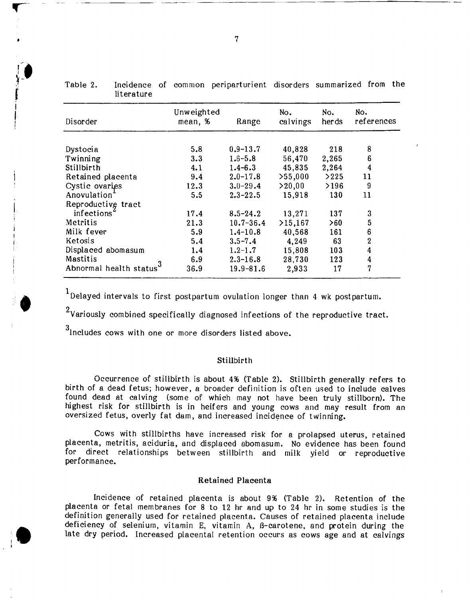|                         | Unweighted |               | No.      | No.   | No.                     |
|-------------------------|------------|---------------|----------|-------|-------------------------|
| Disorder                | mean, %    | Range         | calvings | herds | references              |
|                         | 5.8        | $0.9 - 13.7$  | 40,828   | 218   | 8                       |
| Dystocia<br>Twinning    | 3.3        | $1.6 - 5.8$   | 56,470   | 2,265 | 6                       |
| Stillbirth              | 4.1        | $1.4 - 6.3$   | 45,835   | 2,264 | $\overline{\mathbf{4}}$ |
| Retained placenta       | 9.4        | $2.0 - 17.8$  | >55,000  | >225  | 11                      |
| Cystic ovaries          | 12.3       | $3.0 - 29.4$  | > 20,00  | >196  | 9                       |
| Anovulation'            | 5.5        | $2.3 - 22.5$  | 15,918   | 130   | 11                      |
| Reproductive tract      |            |               |          |       |                         |
| infections'             | 17.4       | $8.5 - 24.2$  | 13,271   | 137   | 3                       |
| Metritis                | 21.3       | $10.7 - 36.4$ | >15,167  | >60   | $\overline{5}$          |
| Milk fever              | 5.9        | $1.4 - 10.8$  | 40,568   | 161   | 6                       |
| Ketosis                 | 5,4        | $3.5 - 7.4$   | 4,249    | 63    | $\overline{2}$          |
| Displaced abomasum      | 1.4        | $1.2 - 1.7$   | 15,808   | 103   | 4                       |
| Mastitis                | 6.9        | $2.3 - 16.8$  | 28,730   | 123   | 4                       |
| Abnormal health status' | 36.9       | $19.9 - 81.6$ | 2,933    | 17    | 7                       |

Table 2. Incidence of common periparturient disorders summarized from the literature literature

 $<sup>1</sup>$ Delayed intervals to first postpartum ovulation longer than 4 wk postpartum.</sup>

<sup>2</sup>Variously combined specifically diagnosed infections of the reproductive tract.

 $3$ lncludes cows with one or more disorders listed above.

#### Stillbirth

Occurrence of stillbirth is about 4% (Table 2). Stillbirth generally refers to birth of a dead fetus; however, a broader definition is often used to include calves found dead at calving (some of which may not have been truly stillborn). The highest risk for stillbirth is in heif ers and young cows and may result from an oversized fetus, overly fat dam, and increased incidence of twinning.

Cows with stillbirths have increased risk for a prolapsed uterus, retained placenta, metritis, aciduria, and displaced abomasum. No evidence has been found for direct relationships between stillbirth and milk yield or reproductive performance.

## Retained Placenta

Incidence of retained placenta is about 9% (Table 2). Retention of the placenta or fetal membranes for 8 to 12 hr and up to 24 hr in some studies is the definition generally used for retained placenta. Causes of retained placenta include deficiency of selenium, vitamin E, vitamin A, B-carotene, and protein during the late dry period. Increased placental retention occurs as cows age and at calvings

r ~----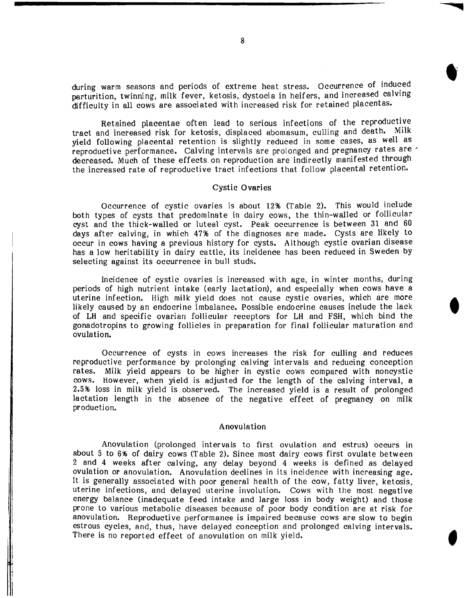during warm seasons and periods of extreme heat stress. Occurrence of induced parturition, twinning, milk fever, ketosis, dystocia in heifers, and increased calving difficulty in all cows are associated with increased risk for retained placentas.

Retained placentae often lead to serious infections of the reproductiye tract and increased risk for ketosis, displaced abomasum, culling and death. MIlk yield following placental retention is slightly reduced in some cases, as well as reproductive performance. Calving intervals are prolonged and pregnancy rates are' decreased. Much of these effects on reproduction are indirectly manifested through the increased rate of reproductive tract infections that follow placental retention.

### Cystic Ovaries

Occurrence of cystic ovaries is about 12% (Table 2). This would include both types of cysts that predominate in dairy cows, the thin-walled or follicular cyst and the thick-walled or luteal cyst. Peak occurrence is between 31 and 60 days after calving, in which 4796 of the diagnoses are made. Cysts are likely to occur in cows having a previous history for cysts. Although cystic ovarian disease has a low heritability in dairy cattle, its incidence has been reduced in Sweden by selecting against its occurrence in bull studs.

Incidence of cystic ovaries is increased with age, in winter months, during periods of high nutrient intake (early lactation), and especially when cows have a uterine infection. High milk yield does not cause cystic ovaries, which are more likely caused by an endocrine imbalance. Possible endocrine causes include the lack of LH and specific ovarian follicular receptors for LH and FSH, which bind the gonadotropins to growing follicles in preparation for final follicular maturation and ovulation.

Occurrence of cysts in cows increases the risk for culling and reduces reproductive performance by prolonging calving intervals and reducing conception rates. Milk yield appears to be higher in cystic cows compared with noncystic cows. However, when yield is adjusted for the length of the calving interval, a 2.596 loss in milk yield is observed. The increased yield is a result of prolonged lactation length in the absence of the negative effect of pregnancy on milk production.

#### Anovulation

Anovulation (prolonged intervals to first ovulation and estrus) occurs in about 5 to 6% of dairy cows (Table 2). Since most dairy cows first ovulate between 2 and 4 weeks after calving, any delay beyond 4 weeks is defined as delayed ovulation or anovulation. Anovulation declines in its incidence with increasing age. It is generally associated with poor general health of the cow, fatty liver, ketosis, uterine infections, and delayed uterine involution. Cows with the most negative energy balance (inadequate feed intake and large loss in body weight) and those prone to various metabolic diseases because of poor body condition are at risk for anovulation. Reproductive performance is impaired because cows are slow to begin estrous cycles, and, thus, have delayed conception and prolonged calving intervals. There is no reported effect of anovulation on milk yield.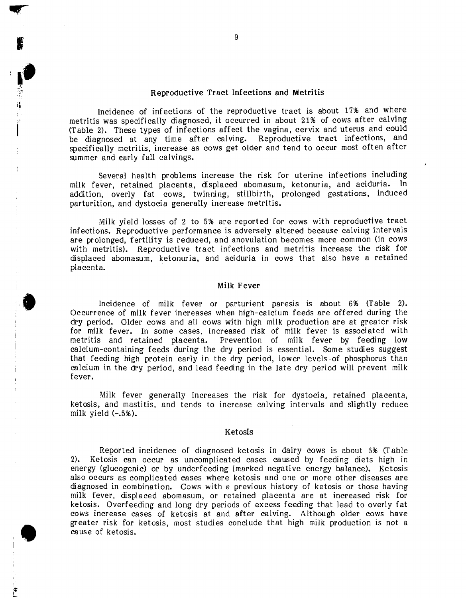## Reproductive Tract Infections and Metritis

'I, Septembre 1

**•** 

**•** 

Incidence of infections of the reproductive tract is about 17% and where metritis was specifically diagnosed, it occurred in about 21% of cows after calving (Table 2). These types of infections affect the vagina, cervix and uterus and could be diagnosed at any time after calving. Reproductive tract infections, and specifically metritis, increase as cows get older and tend to occur most often after summer and early fall calvings.

Several health problems increase the risk for uterine infections including milk fever, retained placenta, displaced abomasum, ketonuria, and aciduria. In addition, overly fat cows, twinning, stillbirth, prolonged gestations, induced parturition, and dystocia generally increase metritis.

Milk yield losses of 2 to 5% are reported for cows with reproductive tract infections. Reproductive performance is adversely altered because calving intervals are prolonged, fertility is reduced, and anovulation becomes more common (in cows with metritis). Reproductive tract infections and metritis increase the risk for displaced abomasum, ketonuria, and aciduria in cows that also have a retained placenta.

### Milk Fever

Incidence of milk fever or parturient paresis is about 6% (Table 2). Occurrence of milk fever increases when high-calcium feeds are offered during the dry period. Older cows and all cows with high milk production are at greater risk for milk fever. In some cases, increased risk of milk fever is associated with metritis and retained placenta. Prevention of milk fever by feeding low calcium-containing feeds during the dry period is essential. Some studies suggest that feeding high protein early in the dry period, lower levels of phosphorus than calcium in the dry period, and lead feeding in the late dry period will prevent milk fever.

Milk fever generally increases the risk for dystocia, retained placenta, ketosis, and mastitis, and tends to increase calving intervals and slightly reduce milk yield  $(-.5%)$ .

#### Ketosis

Reported incidence of diagnosed ketosis in dairy cows is about 5% (Table 2). Ketosis can occur as uncomplicated cases caused by feeding diets high in energy (glucogenic) or by underfeeding (marked negative energy balance). Ketosis also occurs as complicated cases where ketosis and one or more other diseases are diagnosed in combination. Cows with a previous history of ketosis or those having milk fever, displaced abomasum, or retained placenta are at increased risk for ketosis. Overfeeding and long dry periods of excess feeding that lead to overly fat cows increase cases of ketosis at and after calving. Although older cows have greater risk for ketosis, most studies conclude that high milk production is not a cause of ketosis.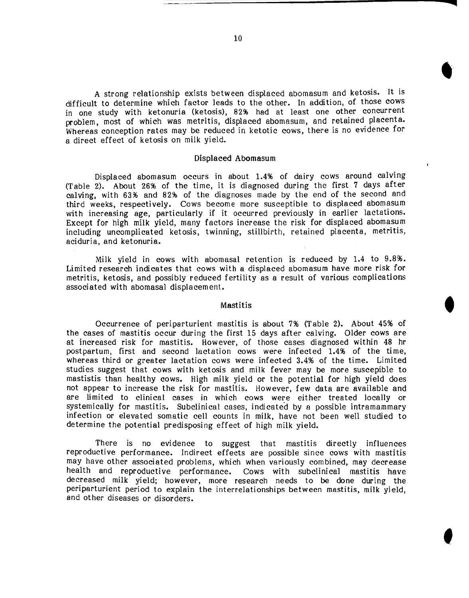A strong relationship exists between displaced abomasum and ketosis. It is difficult to determine which factor leads to the other. In addition, of those cows in one study with ketonuria (ketosis), 82% had at least one other concurrent problem, most of which was metritis, displaced abomasum, and retained placenta. Whereas conception rates may be reduced in ketotic cows, there is no evidence for a direct effect of ketosis on milk yield.

#### Displaced Abomasum

Displaced abomasum occurs in about 1.4% of dairy cows around calving (Table 2). About 26% of the time, it is diagnosed during the first 7 days after calving, with 63% and 82% of the diagnoses made by the end of the second and third weeks, respectively. Cows become more susceptible to displaced abomasum with increasing age, particularly if it occurred previously in earlier lactations. Except for high milk yield, many factors increase the risk for displaced abomasum including uncomplicated ketosis, twinning, stillbirth, retained placenta, metritis, aciduria, and ketonuria.

Milk yield in cows with abomasal retention is reduced by 1.4 to 9.8%. Limited research indicates that cows with a displaced abomasum have more risk for metritis, ketosis, and possibly reduced fertility as a result of various complications associated with abomasal displacement.

#### Mastitis

Occurrence of periparturient mastitis is about 7% (Table 2). About 45% of the cases of mastitis occur during the first 15 days after calving. Older cows are at increased risk for mastitis. However, of those cases diagnosed within 48 hr postpartum, first and second lactation cows were infected 1.4% of the time, whereas third or greater lactation cows were infected 3.4% of the time. Limited studies suggest that cows with ketosis and milk fever may be more suscepible to mastistis than healthy cows. High milk yield or the potential for high yield does not appear to increase the risk for mastitis. However, few data are available and are limited to clinical cases in which cows were either treated locally or systemically for mastitis. Subclinical cases, indicated by a possible intramammary infection or elevated somatic cell counts in milk, have not been well studied to determine the potential predisposing effect of high milk yield.

There is no evidence to suggest that mastitis directly influences reproductive performance. Indirect effects are possible since cows with mastitis may have other associated problems, which when variously combined, may decrease health and reproductive performance. Cows with subclinical mastitis have decreased milk yield; however, more research needs to be done during the periparturient period to explain the interrelationships between mastitis, milk yield, and other diseases or disorders.

f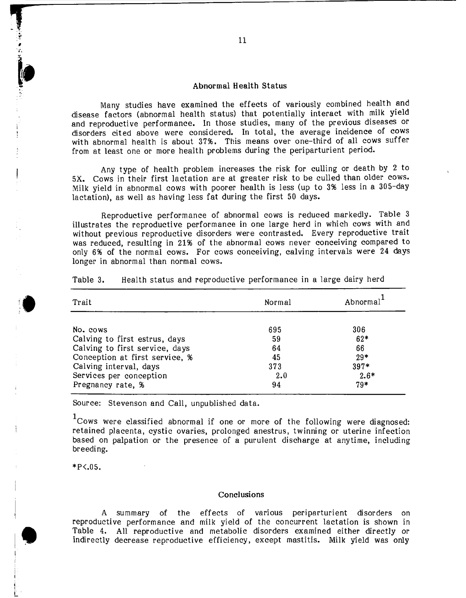#### Abnormal Health Status

Many studies have examined the effects of variously combined health and disease factors (abnormal health status) that potentially interact with milk yield and reproductive performance. In those studies, many of the previous diseases or disorders cited above were considered. In total, the average incidence of cows with abnormal health is about 37%. This means over one-third of all cows suffer from at least one or more health problems during the periparturient period.

Any type of health problem increases the risk for culling or death by 2 to 5X. Cows in their first lactation are at greater risk to be culled than older cows. Milk yield in abnormal cows with poorer health is less (up to 3% less in a 305-day lactation), as well as having less fat during the first 50 days.

Reproductive performance of abnormal cows is reduced markedly. Table 3 illustrates the reproductive performance in one large herd in which cows with and without previous reproductive disorders were contrasted. Every reproductive trait was reduced, resulting in 21% of the abnormal cows never conceiving compared to only 6% of the normal cows. For cows conceiving, calving intervals were 24 days longer in abnormal than normal cows.

| Trait                          | Normal | Abnormal <sup>1</sup> |  |
|--------------------------------|--------|-----------------------|--|
| No. cows                       | 695    | 306                   |  |
| Calving to first estrus, days  | 59     | $62*$                 |  |
| Calving to first service, days | 64     | 66                    |  |
| Conception at first service, % | 45     | $29*$                 |  |
| Calving interval, days         | 373    | $397*$                |  |
| Services per conception        | 2.0    | $2.6*$                |  |
| Pregnancy rate, %              | 94     | $79*$                 |  |

Health status and reproductive performance in a large dairy herd Table 3.

Source: Stevenson and Call, unpublished data.

 $1$ Cows were classified abnormal if one or more of the following were diagnosed: retained placenta, cystic ovaries, prolonged anestrus, twinning or uterine infection based on palpation or the presence of a purulent discharge at anytime, including breeding.

 $*P<.05.$ 

 $\blacktriangledown$ 

i I L

## **Conclusions**

A summary of the effects of various periparturient disorders on reproductive performance and milk yield of the concurrent lactation is shown in Table 4. All reproductive and metabolic disorders examined either directly or indirectly decrease reproductive efficiency, except mastitis. Milk yield was only